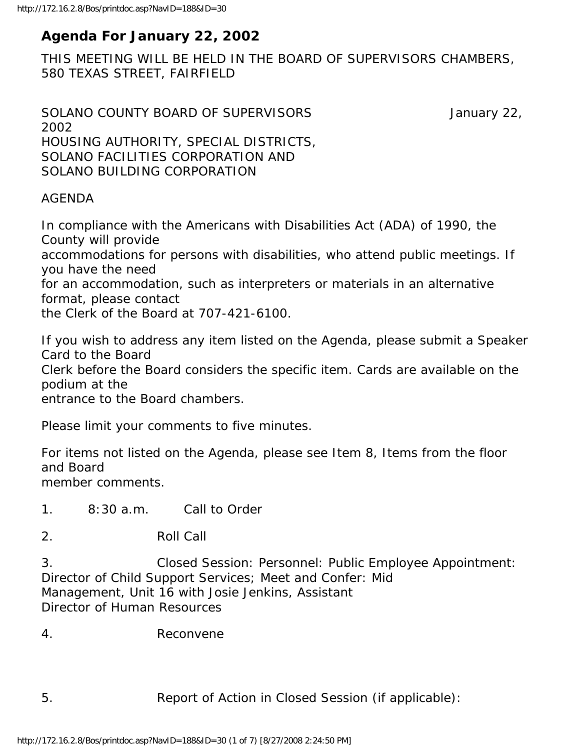# **Agenda For January 22, 2002**

THIS MEETING WILL BE HELD IN THE BOARD OF SUPERVISORS CHAMBERS, 580 TEXAS STREET, FAIRFIELD

```
SOLANO COUNTY BOARD OF SUPERVISORS SOLANO COUNTY BOARD OF SUPERVISORS
2002 
HOUSING AUTHORITY, SPECIAL DISTRICTS, 
SOLANO FACILITIES CORPORATION AND 
SOLANO BUILDING CORPORATION
```
## AGENDA

In compliance with the Americans with Disabilities Act (ADA) of 1990, the County will provide

accommodations for persons with disabilities, who attend public meetings. If you have the need

for an accommodation, such as interpreters or materials in an alternative format, please contact

the Clerk of the Board at 707-421-6100.

If you wish to address any item listed on the Agenda, please submit a Speaker Card to the Board Clerk before the Board considers the specific item. Cards are available on the podium at the

entrance to the Board chambers.

Please limit your comments to five minutes.

For items not listed on the Agenda, please see Item 8, Items from the floor and Board member comments.

1. 8:30 a.m. Call to Order

2. Roll Call

3. Closed Session: Personnel: Public Employee Appointment: Director of Child Support Services; Meet and Confer: Mid Management, Unit 16 with Josie Jenkins, Assistant Director of Human Resources

4. Reconvene

5. Report of Action in Closed Session (if applicable):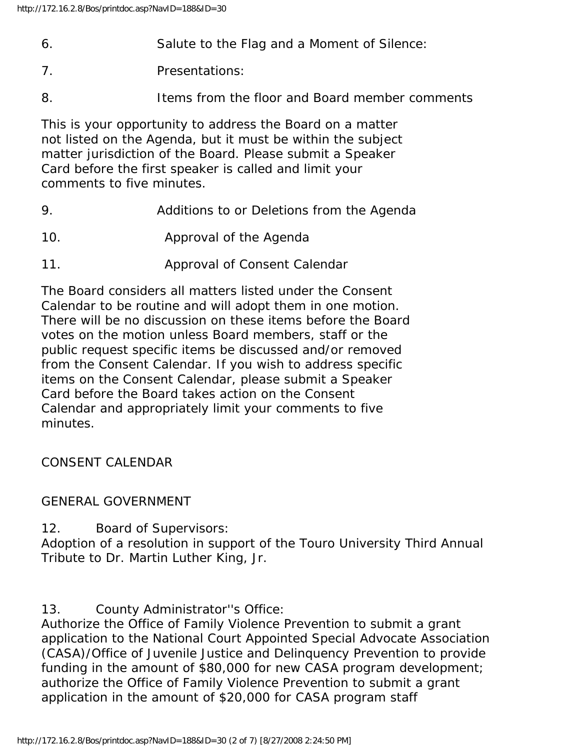- 6. Salute to the Flag and a Moment of Silence:
- 7. Presentations:
- 8. Items from the floor and Board member comments

This is your opportunity to address the Board on a matter not listed on the Agenda, but it must be within the subject matter jurisdiction of the Board. Please submit a Speaker Card before the first speaker is called and limit your comments to five minutes.

- 9. Additions to or Deletions from the Agenda
- 10. Approval of the Agenda
- 11. Approval of Consent Calendar

The Board considers all matters listed under the Consent Calendar to be routine and will adopt them in one motion. There will be no discussion on these items before the Board votes on the motion unless Board members, staff or the public request specific items be discussed and/or removed from the Consent Calendar. If you wish to address specific items on the Consent Calendar, please submit a Speaker Card before the Board takes action on the Consent Calendar and appropriately limit your comments to five minutes.

CONSENT CALENDAR

#### GENERAL GOVERNMENT

12. Board of Supervisors:

Adoption of a resolution in support of the Touro University Third Annual Tribute to Dr. Martin Luther King, Jr.

13. County Administrator''s Office:

Authorize the Office of Family Violence Prevention to submit a grant application to the National Court Appointed Special Advocate Association (CASA)/Office of Juvenile Justice and Delinquency Prevention to provide funding in the amount of \$80,000 for new CASA program development; authorize the Office of Family Violence Prevention to submit a grant application in the amount of \$20,000 for CASA program staff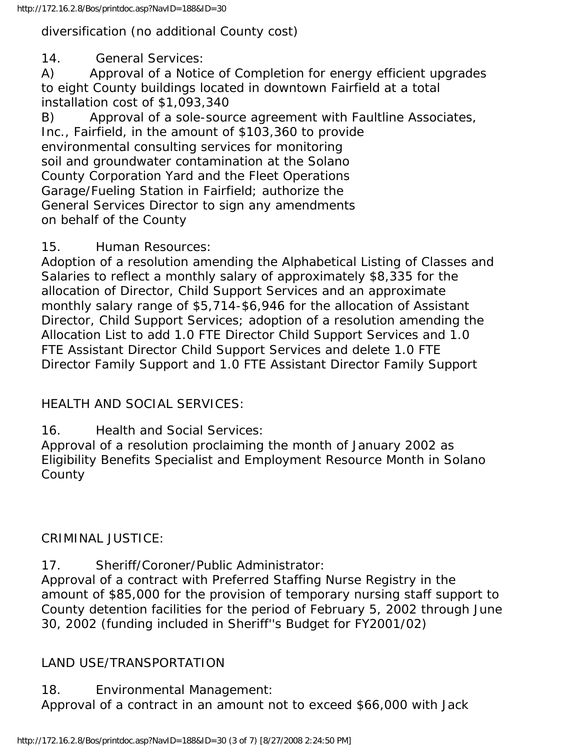## diversification (no additional County cost)

14. General Services:

A) Approval of a Notice of Completion for energy efficient upgrades to eight County buildings located in downtown Fairfield at a total installation cost of \$1,093,340

B) Approval of a sole-source agreement with Faultline Associates, Inc., Fairfield, in the amount of \$103,360 to provide environmental consulting services for monitoring soil and groundwater contamination at the Solano County Corporation Yard and the Fleet Operations Garage/Fueling Station in Fairfield; authorize the General Services Director to sign any amendments on behalf of the County

## 15. Human Resources:

Adoption of a resolution amending the Alphabetical Listing of Classes and Salaries to reflect a monthly salary of approximately \$8,335 for the allocation of Director, Child Support Services and an approximate monthly salary range of \$5,714-\$6,946 for the allocation of Assistant Director, Child Support Services; adoption of a resolution amending the Allocation List to add 1.0 FTE Director Child Support Services and 1.0 FTE Assistant Director Child Support Services and delete 1.0 FTE Director Family Support and 1.0 FTE Assistant Director Family Support

# HEALTH AND SOCIAL SERVICES:

16. Health and Social Services:

Approval of a resolution proclaiming the month of January 2002 as Eligibility Benefits Specialist and Employment Resource Month in Solano County

# CRIMINAL JUSTICE:

17. Sheriff/Coroner/Public Administrator:

Approval of a contract with Preferred Staffing Nurse Registry in the amount of \$85,000 for the provision of temporary nursing staff support to County detention facilities for the period of February 5, 2002 through June 30, 2002 (funding included in Sheriff''s Budget for FY2001/02)

# LAND USE/TRANSPORTATION

# 18. Environmental Management:

Approval of a contract in an amount not to exceed \$66,000 with Jack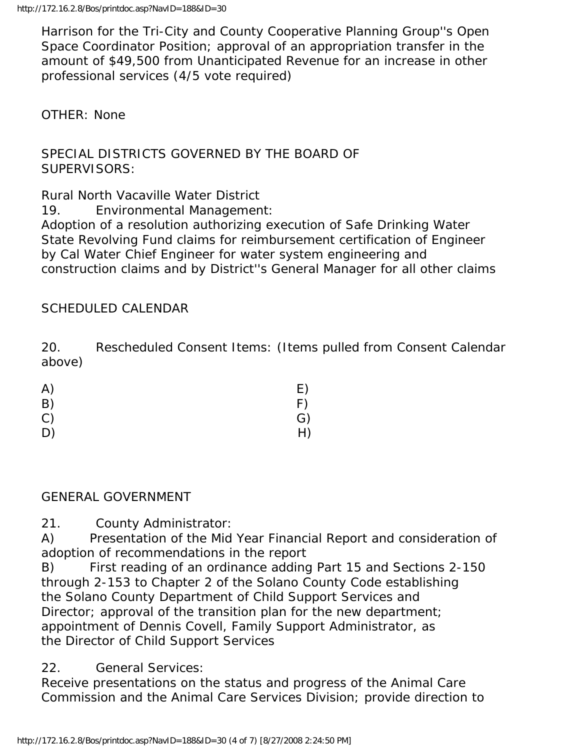Harrison for the Tri-City and County Cooperative Planning Group''s Open Space Coordinator Position; approval of an appropriation transfer in the amount of \$49,500 from Unanticipated Revenue for an increase in other professional services (4/5 vote required)

### OTHER: None

## SPECIAL DISTRICTS GOVERNED BY THE BOARD OF SUPERVISORS:

Rural North Vacaville Water District

19. Environmental Management:

Adoption of a resolution authorizing execution of Safe Drinking Water State Revolving Fund claims for reimbursement certification of Engineer by Cal Water Chief Engineer for water system engineering and construction claims and by District''s General Manager for all other claims

### SCHEDULED CALENDAR

20. Rescheduled Consent Items: (Items pulled from Consent Calendar above)

| A) | E) |
|----|----|
| B) | F) |
| C) | G) |
| D) | H) |

#### GENERAL GOVERNMENT

21. County Administrator:

A) Presentation of the Mid Year Financial Report and consideration of adoption of recommendations in the report

B) First reading of an ordinance adding Part 15 and Sections 2-150 through 2-153 to Chapter 2 of the Solano County Code establishing the Solano County Department of Child Support Services and Director; approval of the transition plan for the new department; appointment of Dennis Covell, Family Support Administrator, as the Director of Child Support Services

22. General Services:

Receive presentations on the status and progress of the Animal Care Commission and the Animal Care Services Division; provide direction to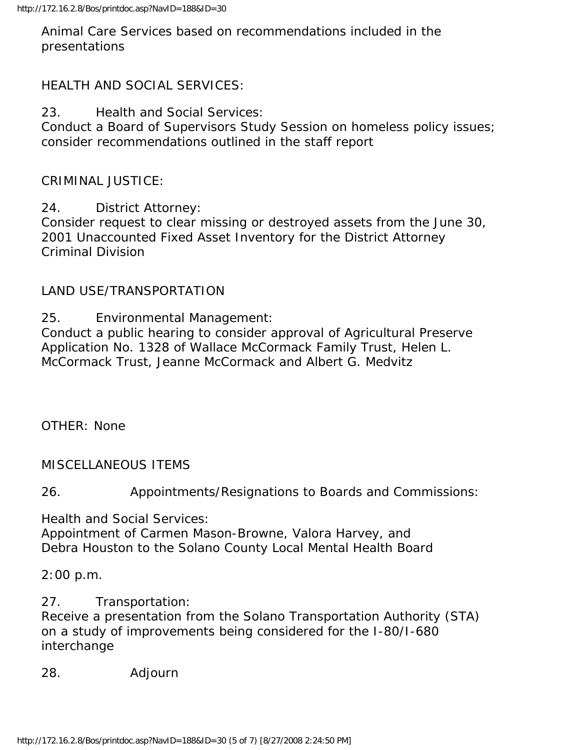Animal Care Services based on recommendations included in the presentations

## HEALTH AND SOCIAL SERVICES:

23. Health and Social Services:

Conduct a Board of Supervisors Study Session on homeless policy issues; consider recommendations outlined in the staff report

CRIMINAL JUSTICE:

24. District Attorney: Consider request to clear missing or destroyed assets from the June 30, 2001 Unaccounted Fixed Asset Inventory for the District Attorney Criminal Division

## LAND USE/TRANSPORTATION

25. Environmental Management:

Conduct a public hearing to consider approval of Agricultural Preserve Application No. 1328 of Wallace McCormack Family Trust, Helen L. McCormack Trust, Jeanne McCormack and Albert G. Medvitz

OTHER: None

MISCELLANEOUS ITEMS

26. Appointments/Resignations to Boards and Commissions:

Health and Social Services:

Appointment of Carmen Mason-Browne, Valora Harvey, and Debra Houston to the Solano County Local Mental Health Board

2:00 p.m.

27. Transportation: Receive a presentation from the Solano Transportation Authority (STA) on a study of improvements being considered for the I-80/I-680 interchange

28. Adjourn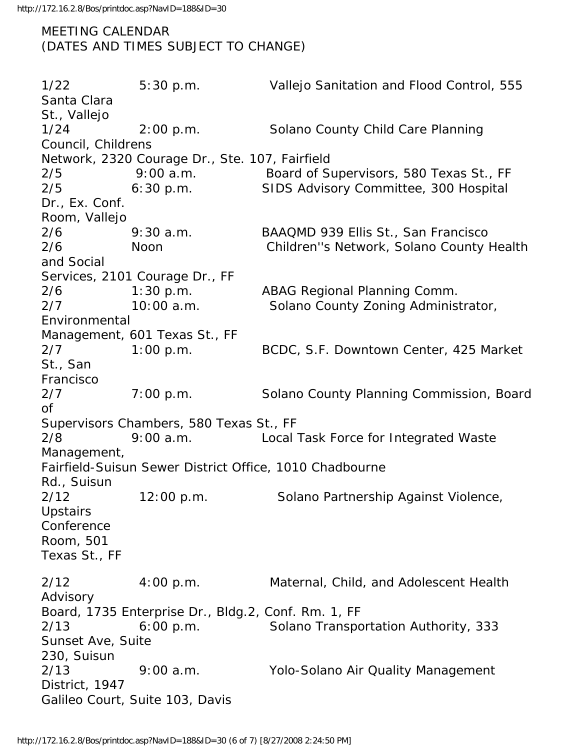MEETING CALENDAR (DATES AND TIMES SUBJECT TO CHANGE)

1/22 5:30 p.m. Vallejo Sanitation and Flood Control, 555 Santa Clara St., Vallejo 1/24 2:00 p.m. Solano County Child Care Planning Council, Childrens Network, 2320 Courage Dr., Ste. 107, Fairfield 2/5 9:00 a.m. Board of Supervisors, 580 Texas St., FF 2/5 6:30 p.m. SIDS Advisory Committee, 300 Hospital Dr., Ex. Conf. Room, Vallejo 2/6 9:30 a.m. BAAQMD 939 Ellis St., San Francisco 2/6 Noon Children''s Network, Solano County Health and Social Services, 2101 Courage Dr., FF 2/6 1:30 p.m. ABAG Regional Planning Comm. 2/7 10:00 a.m. Solano County Zoning Administrator, Environmental Management, 601 Texas St., FF 2/7 1:00 p.m. BCDC, S.F. Downtown Center, 425 Market St., San Francisco 2/7 7:00 p.m. Solano County Planning Commission, Board of Supervisors Chambers, 580 Texas St., FF 2/8 9:00 a.m. Local Task Force for Integrated Waste Management, Fairfield-Suisun Sewer District Office, 1010 Chadbourne Rd., Suisun 2/12 12:00 p.m. Solano Partnership Against Violence, **Upstairs** Conference Room, 501 Texas St., FF 2/12 4:00 p.m. Maternal, Child, and Adolescent Health Advisory Board, 1735 Enterprise Dr., Bldg.2, Conf. Rm. 1, FF 2/13 6:00 p.m. Solano Transportation Authority, 333 Sunset Ave, Suite 230, Suisun 2/13 9:00 a.m. Yolo-Solano Air Quality Management District, 1947 Galileo Court, Suite 103, Davis